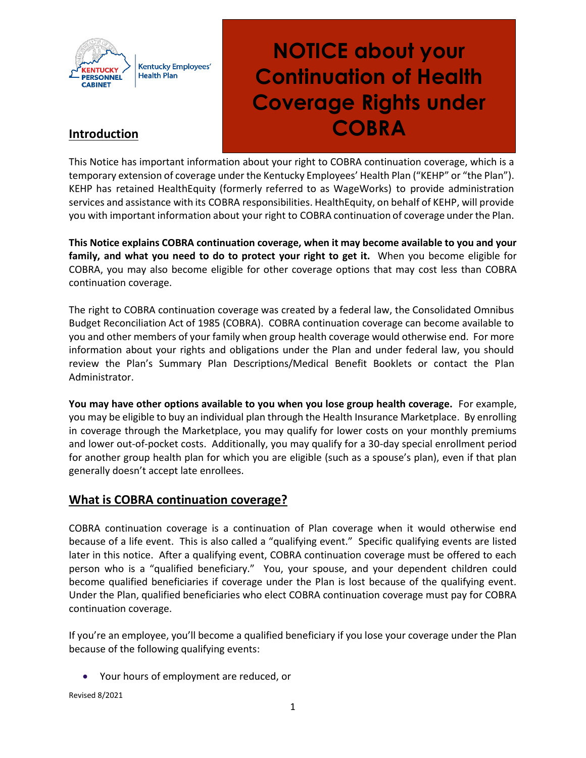

# **NOTICE about your Continuation of Health Coverage Rights under COBRA**

## **Introduction**

This Notice has important information about your right to COBRA continuation coverage, which is a temporary extension of coverage under the Kentucky Employees' Health Plan ("KEHP" or "the Plan"). KEHP has retained HealthEquity (formerly referred to as WageWorks) to provide administration services and assistance with its COBRA responsibilities. HealthEquity, on behalf of KEHP, will provide you with important information about your right to COBRA continuation of coverage under the Plan.

**This Notice explains COBRA continuation coverage, when it may become available to you and your family, and what you need to do to protect your right to get it.** When you become eligible for COBRA, you may also become eligible for other coverage options that may cost less than COBRA continuation coverage.

The right to COBRA continuation coverage was created by a federal law, the Consolidated Omnibus Budget Reconciliation Act of 1985 (COBRA). COBRA continuation coverage can become available to you and other members of your family when group health coverage would otherwise end. For more information about your rights and obligations under the Plan and under federal law, you should review the Plan's Summary Plan Descriptions/Medical Benefit Booklets or contact the Plan Administrator.

**You may have other options available to you when you lose group health coverage.** For example, you may be eligible to buy an individual plan through the Health Insurance Marketplace. By enrolling in coverage through the Marketplace, you may qualify for lower costs on your monthly premiums and lower out-of-pocket costs. Additionally, you may qualify for a 30-day special enrollment period for another group health plan for which you are eligible (such as a spouse's plan), even if that plan generally doesn't accept late enrollees.

## **What is COBRA continuation coverage?**

COBRA continuation coverage is a continuation of Plan coverage when it would otherwise end because of a life event. This is also called a "qualifying event." Specific qualifying events are listed later in this notice. After a qualifying event, COBRA continuation coverage must be offered to each person who is a "qualified beneficiary." You, your spouse, and your dependent children could become qualified beneficiaries if coverage under the Plan is lost because of the qualifying event. Under the Plan, qualified beneficiaries who elect COBRA continuation coverage must pay for COBRA continuation coverage.

If you're an employee, you'll become a qualified beneficiary if you lose your coverage under the Plan because of the following qualifying events:

Your hours of employment are reduced, or

Revised 8/2021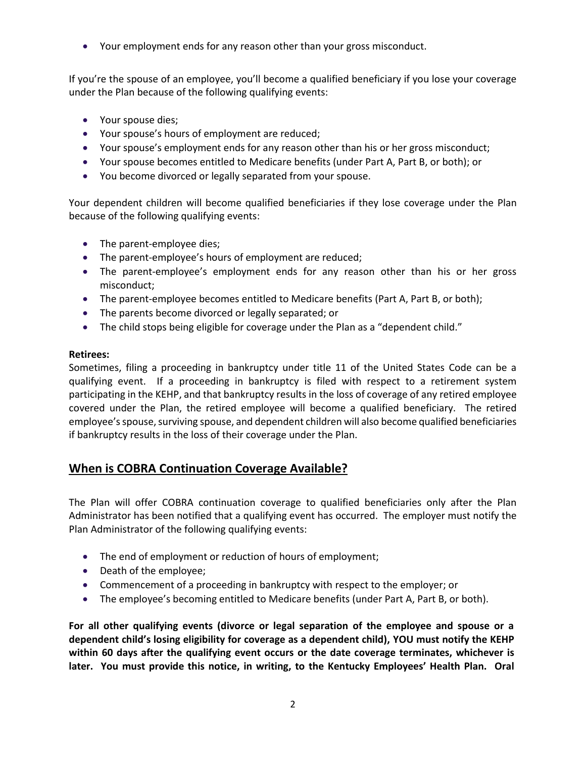Your employment ends for any reason other than your gross misconduct.

If you're the spouse of an employee, you'll become a qualified beneficiary if you lose your coverage under the Plan because of the following qualifying events:

- Your spouse dies;
- Your spouse's hours of employment are reduced;
- Your spouse's employment ends for any reason other than his or her gross misconduct;
- Your spouse becomes entitled to Medicare benefits (under Part A, Part B, or both); or
- You become divorced or legally separated from your spouse.

Your dependent children will become qualified beneficiaries if they lose coverage under the Plan because of the following qualifying events:

- The parent-employee dies;
- The parent-employee's hours of employment are reduced;
- The parent-employee's employment ends for any reason other than his or her gross misconduct;
- The parent-employee becomes entitled to Medicare benefits (Part A, Part B, or both);
- The parents become divorced or legally separated; or
- The child stops being eligible for coverage under the Plan as a "dependent child."

#### **Retirees:**

Sometimes, filing a proceeding in bankruptcy under title 11 of the United States Code can be a qualifying event. If a proceeding in bankruptcy is filed with respect to a retirement system participating in the KEHP, and that bankruptcy results in the loss of coverage of any retired employee covered under the Plan, the retired employee will become a qualified beneficiary. The retired employee's spouse, surviving spouse, and dependent children will also become qualified beneficiaries if bankruptcy results in the loss of their coverage under the Plan.

# **When is COBRA Continuation Coverage Available?**

The Plan will offer COBRA continuation coverage to qualified beneficiaries only after the Plan Administrator has been notified that a qualifying event has occurred. The employer must notify the Plan Administrator of the following qualifying events:

- The end of employment or reduction of hours of employment;
- Death of the employee;
- Commencement of a proceeding in bankruptcy with respect to the employer; or
- The employee's becoming entitled to Medicare benefits (under Part A, Part B, or both).

**For all other qualifying events (divorce or legal separation of the employee and spouse or a dependent child's losing eligibility for coverage as a dependent child), YOU must notify the KEHP within 60 days after the qualifying event occurs or the date coverage terminates, whichever is later. You must provide this notice, in writing, to the Kentucky Employees' Health Plan. Oral**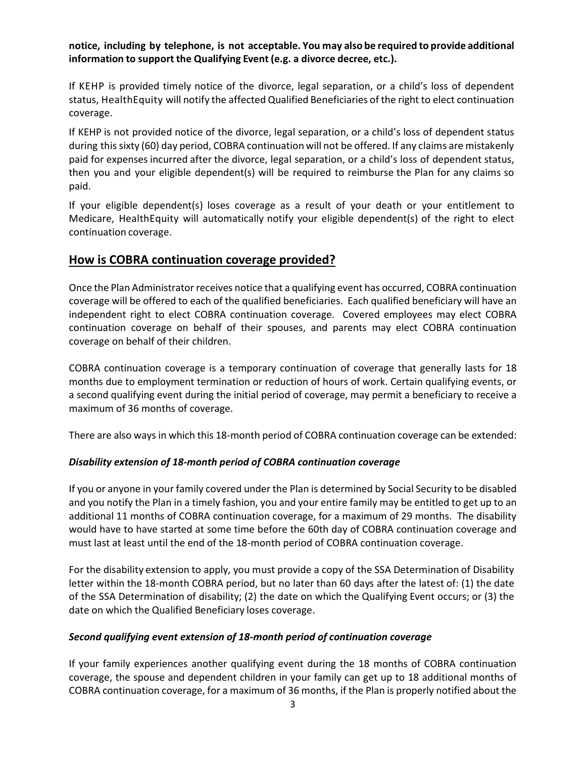**notice, including by telephone, is not acceptable. You may also be required to provide additional information to support the Qualifying Event (e.g. a divorce decree, etc.).** 

If KEHP is provided timely notice of the divorce, legal separation, or a child's loss of dependent status, HealthEquity will notify the affected Qualified Beneficiaries of the right to elect continuation coverage.

If KEHP is not provided notice of the divorce, legal separation, or a child's loss of dependent status during this sixty (60) day period, COBRA continuation will not be offered. If any claims are mistakenly paid for expenses incurred after the divorce, legal separation, or a child's loss of dependent status, then you and your eligible dependent(s) will be required to reimburse the Plan for any claims so paid.

If your eligible dependent(s) loses coverage as a result of your death or your entitlement to Medicare, HealthEquity will automatically notify your eligible dependent(s) of the right to elect continuation coverage.

### **How is COBRA continuation coverage provided?**

Once the Plan Administrator receives notice that a qualifying event has occurred, COBRA continuation coverage will be offered to each of the qualified beneficiaries. Each qualified beneficiary will have an independent right to elect COBRA continuation coverage. Covered employees may elect COBRA continuation coverage on behalf of their spouses, and parents may elect COBRA continuation coverage on behalf of their children.

COBRA continuation coverage is a temporary continuation of coverage that generally lasts for 18 months due to employment termination or reduction of hours of work. Certain qualifying events, or a second qualifying event during the initial period of coverage, may permit a beneficiary to receive a maximum of 36 months of coverage.

There are also ways in which this 18-month period of COBRA continuation coverage can be extended:

#### *Disability extension of 18-month period of COBRA continuation coverage*

If you or anyone in your family covered under the Plan is determined by Social Security to be disabled and you notify the Plan in a timely fashion, you and your entire family may be entitled to get up to an additional 11 months of COBRA continuation coverage, for a maximum of 29 months. The disability would have to have started at some time before the 60th day of COBRA continuation coverage and must last at least until the end of the 18-month period of COBRA continuation coverage.

For the disability extension to apply, you must provide a copy of the SSA Determination of Disability letter within the 18-month COBRA period, but no later than 60 days after the latest of: (1) the date of the SSA Determination of disability; (2) the date on which the Qualifying Event occurs; or (3) the date on which the Qualified Beneficiary loses coverage.

#### *Second qualifying event extension of 18-month period of continuation coverage*

If your family experiences another qualifying event during the 18 months of COBRA continuation coverage, the spouse and dependent children in your family can get up to 18 additional months of COBRA continuation coverage, for a maximum of 36 months, if the Plan is properly notified about the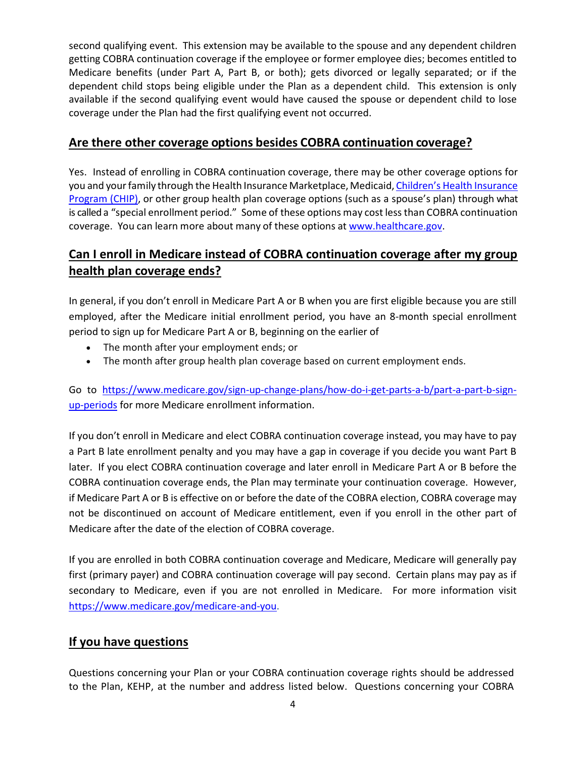second qualifying event. This extension may be available to the spouse and any dependent children getting COBRA continuation coverage if the employee or former employee dies; becomes entitled to Medicare benefits (under Part A, Part B, or both); gets divorced or legally separated; or if the dependent child stops being eligible under the Plan as a dependent child. This extension is only available if the second qualifying event would have caused the spouse or dependent child to lose coverage under the Plan had the first qualifying event not occurred.

# **Are there other coverage options besides COBRA continuation coverage?**

Yes. Instead of enrolling in COBRA continuation coverage, there may be other coverage options for you and your family through the Health Insurance Marketplace, Medicaid, Children's Health Insurance [Program \(CHIP\),](https://www.healthcare.gov/are-my-children-eligible-for-chip) or other group health plan coverage options (such as a spouse's plan) through what is called a "special enrollment period." Some of these options may cost less than COBRA continuation coverage. You can learn more about many of these options at [www.healthcare.gov.](http://www.healthcare.gov/)

# **Can I enroll in Medicare instead of COBRA continuation coverage after my group health plan coverage ends?**

In general, if you don't enroll in Medicare Part A or B when you are first eligible because you are still employed, after the Medicare initial enrollment period, you have an 8-month special enrollment period to sign up for Medicare Part A or B, beginning on the earlier of

- The month after your employment ends; or
- The month after group health plan coverage based on current employment ends.

Go to [https://www.medicare.gov/sign-up-change-plans/how-do-i-get-parts-a-b/part-a-part-b-sign](https://www.medicare.gov/sign-up-change-plans/how-do-i-get-parts-a-b/part-a-part-b-sign-up-periods)[up-periods](https://www.medicare.gov/sign-up-change-plans/how-do-i-get-parts-a-b/part-a-part-b-sign-up-periods) for more Medicare enrollment information.

If you don't enroll in Medicare and elect COBRA continuation coverage instead, you may have to pay a Part B late enrollment penalty and you may have a gap in coverage if you decide you want Part B later. If you elect COBRA continuation coverage and later enroll in Medicare Part A or B before the COBRA continuation coverage ends, the Plan may terminate your continuation coverage. However, if Medicare Part A or B is effective on or before the date of the COBRA election, COBRA coverage may not be discontinued on account of Medicare entitlement, even if you enroll in the other part of Medicare after the date of the election of COBRA coverage.

If you are enrolled in both COBRA continuation coverage and Medicare, Medicare will generally pay first (primary payer) and COBRA continuation coverage will pay second. Certain plans may pay as if secondary to Medicare, even if you are not enrolled in Medicare. For more information visit [https://www.medicare.gov/medicare-and-you.](https://www.medicare.gov/medicare-and-you)

# **If you have questions**

Questions concerning your Plan or your COBRA continuation coverage rights should be addressed to the Plan, KEHP, at the number and address listed below. Questions concerning your COBRA